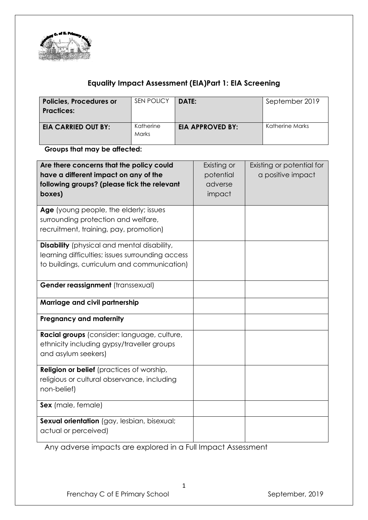

# **Equality Impact Assessment (EIA)Part 1: EIA Screening**

| <b>Policies, Procedures or</b><br><b>Practices:</b> | SEN POLICY         | DATE:                   | September 2019  |
|-----------------------------------------------------|--------------------|-------------------------|-----------------|
| <b>EIA CARRIED OUT BY:</b>                          | Katherine<br>Marks | <b>EIA APPROVED BY:</b> | Katherine Marks |

**Groups that may be affected:**

| Are there concerns that the policy could<br>have a different impact on any of the<br>following groups? (please tick the relevant<br>boxes)            | Existing or<br>potential<br>adverse<br>impact | Existing or potential for<br>a positive impact |
|-------------------------------------------------------------------------------------------------------------------------------------------------------|-----------------------------------------------|------------------------------------------------|
| Age (young people, the elderly; issues<br>surrounding protection and welfare,<br>recruitment, training, pay, promotion)                               |                                               |                                                |
| <b>Disability</b> (physical and mental disability,<br>learning difficulties; issues surrounding access<br>to buildings, curriculum and communication) |                                               |                                                |
| Gender reassignment (transsexual)                                                                                                                     |                                               |                                                |
| Marriage and civil partnership                                                                                                                        |                                               |                                                |
| <b>Pregnancy and maternity</b>                                                                                                                        |                                               |                                                |
| Racial groups (consider: language, culture,<br>ethnicity including gypsy/traveller groups<br>and asylum seekers)                                      |                                               |                                                |
| <b>Religion or belief</b> (practices of worship,<br>religious or cultural observance, including<br>non-belief)                                        |                                               |                                                |
| Sex (male, female)                                                                                                                                    |                                               |                                                |
| Sexual orientation (gay, lesbian, bisexual;<br>actual or perceived)                                                                                   |                                               |                                                |

Any adverse impacts are explored in a Full Impact Assessment

1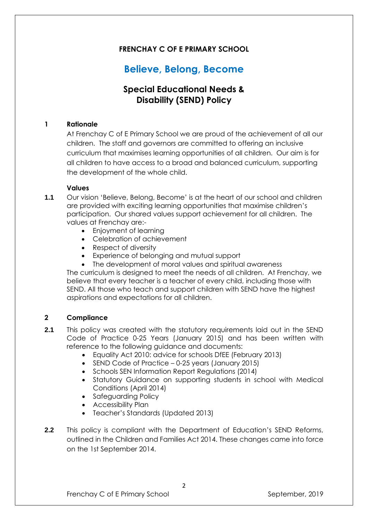# **FRENCHAY C OF E PRIMARY SCHOOL**

# **Believe, Belong, Become**

# **Special Educational Needs & Disability (SEND) Policy**

### **1 Rationale**

At Frenchay C of E Primary School we are proud of the achievement of all our children. The staff and governors are committed to offering an inclusive curriculum that maximises learning opportunities of all children. Our aim is for all children to have access to a broad and balanced curriculum, supporting the development of the whole child.

### **Values**

- **1.1** Our vision 'Believe, Belong, Become' is at the heart of our school and children are provided with exciting learning opportunities that maximise children's participation. Our shared values support achievement for all children. The values at Frenchay are:-
	- Enjoyment of learning
	- Celebration of achievement
	- Respect of diversity
	- Experience of belonging and mutual support
	- The development of moral values and spiritual awareness

The curriculum is designed to meet the needs of all children. At Frenchay, we believe that every teacher is a teacher of every child, including those with SEND. All those who teach and support children with SEND have the highest aspirations and expectations for all children.

### **2 Compliance**

- **2.1** This policy was created with the statutory requirements laid out in the SEND Code of Practice 0-25 Years (January 2015) and has been written with reference to the following guidance and documents:
	- Equality Act 2010: advice for schools DfEE (February 2013)
	- SEND Code of Practice 0-25 years (January 2015)
	- Schools SEN Information Report Regulations (2014)
	- Statutory Guidance on supporting students in school with Medical Conditions (April 2014)
	- Safeguarding Policy
	- Accessibility Plan
	- Teacher's Standards (Updated 2013)
- **2.2** This policy is compliant with the Department of Education's SEND Reforms, outlined in the Children and Families Act 2014. These changes came into force on the 1st September 2014.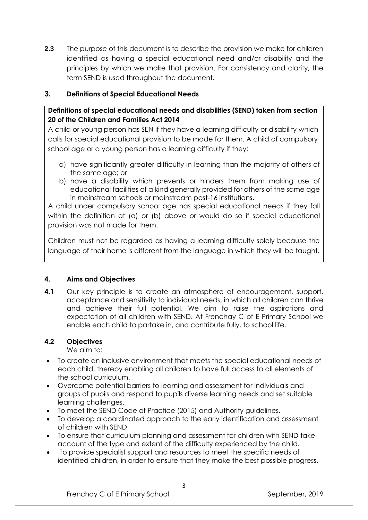**2.3** The purpose of this document is to describe the provision we make for children identified as having a special educational need and/or disability and the principles by which we make that provision. For consistency and clarity, the term SEND is used throughout the document.

### **3. Definitions of Special Educational Needs**

### **Definitions of special educational needs and disabilities (SEND) taken from section 20 of the Children and Families Act 2014**

A child or young person has SEN if they have a learning difficulty or disability which calls for special educational provision to be made for them. A child of compulsory school age or a young person has a learning difficulty if they:

- a) have significantly greater difficulty in learning than the majority of others of the same age; or
- b) have a disability which prevents or hinders them from making use of educational facilities of a kind generally provided for others of the same age in mainstream schools or mainstream post-16 institutions.

A child under compulsory school age has special educational needs if they fall within the definition at (a) or (b) above or would do so if special educational provision was not made for them.

Children must not be regarded as having a learning difficulty solely because the language of their home is different from the language in which they will be taught.

### **4. Aims and Objectives**

**4.1** Our key principle is to create an atmosphere of encouragement, support, acceptance and sensitivity to individual needs, in which all children can thrive and achieve their full potential. We aim to raise the aspirations and expectation of all children with SEND. At Frenchay C of E Primary School we enable each child to partake in, and contribute fully, to school life.

### **4.2 Objectives**

We aim to:

- To create an inclusive environment that meets the special educational needs of each child, thereby enabling all children to have full access to all elements of the school curriculum.
- Overcome potential barriers to learning and assessment for individuals and groups of pupils and respond to pupils diverse learning needs and set suitable learning challenges.
- To meet the SEND Code of Practice (2015) and Authority guidelines.
- To develop a coordinated approach to the early identification and assessment of children with SEND
- To ensure that curriculum planning and assessment for children with SEND take account of the type and extent of the difficulty experienced by the child.
- To provide specialist support and resources to meet the specific needs of identified children, in order to ensure that they make the best possible progress.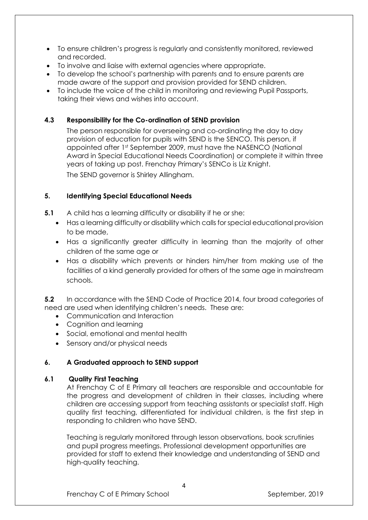- To ensure children's progress is regularly and consistently monitored, reviewed and recorded.
- To involve and liaise with external agencies where appropriate.
- To develop the school's partnership with parents and to ensure parents are made aware of the support and provision provided for SEND children.
- To include the voice of the child in monitoring and reviewing Pupil Passports, taking their views and wishes into account.

### **4.3 Responsibility for the Co-ordination of SEND provision**

The person responsible for overseeing and co-ordinating the day to day provision of education for pupils with SEND is the SENCO. This person, if appointed after 1st September 2009, must have the NASENCO (National Award in Special Educational Needs Coordination) or complete it within three years of taking up post. Frenchay Primary's SENCo is Liz Knight. The SEND governor is Shirley Allingham.

### **5. Identifying Special Educational Needs**

- **5.1** A child has a learning difficulty or disability if he or she:
	- Has a learning difficulty or disability which calls for special educational provision to be made,
	- Has a significantly greater difficulty in learning than the majority of other children of the same age or
	- Has a disability which prevents or hinders him/her from making use of the facilities of a kind generally provided for others of the same age in mainstream schools.

**5.2** In accordance with the SEND Code of Practice 2014, four broad categories of need are used when identifying children's needs. These are:

- Communication and Interaction
- Cognition and learning
- Social, emotional and mental health
- Sensory and/or physical needs

### **6. A Graduated approach to SEND support**

### **6.1 Quality First Teaching**

At Frenchay C of E Primary all teachers are responsible and accountable for the progress and development of children in their classes, including where children are accessing support from teaching assistants or specialist staff. High quality first teaching, differentiated for individual children, is the first step in responding to children who have SEND.

Teaching is regularly monitored through lesson observations, book scrutinies and pupil progress meetings. Professional development opportunities are provided for staff to extend their knowledge and understanding of SEND and high-quality teaching.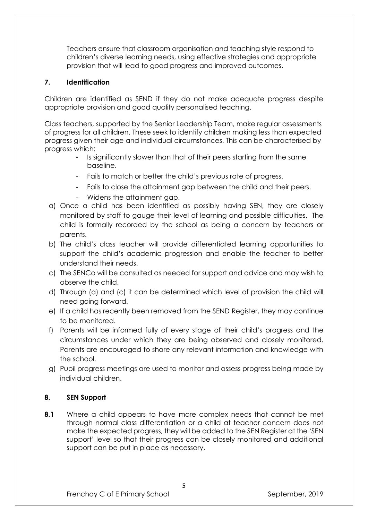Teachers ensure that classroom organisation and teaching style respond to children's diverse learning needs, using effective strategies and appropriate provision that will lead to good progress and improved outcomes.

### **7. Identification**

Children are identified as SEND if they do not make adequate progress despite appropriate provision and good quality personalised teaching.

Class teachers, supported by the Senior Leadership Team, make regular assessments of progress for all children. These seek to identify children making less than expected progress given their age and individual circumstances. This can be characterised by progress which:

- Is significantly slower than that of their peers starting from the same baseline.
- Fails to match or better the child's previous rate of progress.
- Fails to close the attainment gap between the child and their peers.
- Widens the attainment gap.
- a) Once a child has been identified as possibly having SEN, they are closely monitored by staff to gauge their level of learning and possible difficulties. The child is formally recorded by the school as being a concern by teachers or parents.
- b) The child's class teacher will provide differentiated learning opportunities to support the child's academic progression and enable the teacher to better understand their needs.
- c) The SENCo will be consulted as needed for support and advice and may wish to observe the child.
- d) Through (a) and (c) it can be determined which level of provision the child will need going forward.
- e) If a child has recently been removed from the SEND Register, they may continue to be monitored.
- f) Parents will be informed fully of every stage of their child's progress and the circumstances under which they are being observed and closely monitored. Parents are encouraged to share any relevant information and knowledge with the school.
- g) Pupil progress meetings are used to monitor and assess progress being made by individual children.

### **8. SEN Support**

**8.1** Where a child appears to have more complex needs that cannot be met through normal class differentiation or a child at teacher concern does not make the expected progress, they will be added to the SEN Register at the 'SEN support' level so that their progress can be closely monitored and additional support can be put in place as necessary.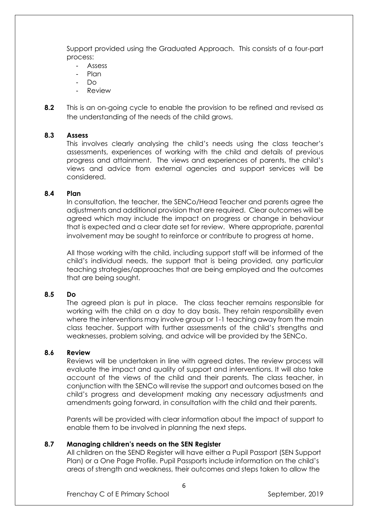Support provided using the Graduated Approach. This consists of a four-part process:

- **Assess**
- Plan
- Do
- **Review**
- **8.2** This is an on-going cycle to enable the provision to be refined and revised as the understanding of the needs of the child grows.

### **8.3 Assess**

This involves clearly analysing the child's needs using the class teacher's assessments, experiences of working with the child and details of previous progress and attainment. The views and experiences of parents, the child's views and advice from external agencies and support services will be considered.

### **8.4 Plan**

In consultation, the teacher, the SENCo/Head Teacher and parents agree the adjustments and additional provision that are required. Clear outcomes will be agreed which may include the impact on progress or change in behaviour that is expected and a clear date set for review. Where appropriate, parental involvement may be sought to reinforce or contribute to progress at home.

All those working with the child, including support staff will be informed of the child's individual needs, the support that is being provided, any particular teaching strategies/approaches that are being employed and the outcomes that are being sought.

### **8.5 Do**

The agreed plan is put in place. The class teacher remains responsible for working with the child on a day to day basis. They retain responsibility even where the interventions may involve group or 1-1 teaching away from the main class teacher. Support with further assessments of the child's strengths and weaknesses, problem solving, and advice will be provided by the SENCo.

### **8.6 Review**

Reviews will be undertaken in line with agreed dates. The review process will evaluate the impact and quality of support and interventions. It will also take account of the views of the child and their parents. The class teacher, in conjunction with the SENCo will revise the support and outcomes based on the child's progress and development making any necessary adjustments and amendments going forward, in consultation with the child and their parents.

Parents will be provided with clear information about the impact of support to enable them to be involved in planning the next steps.

### **8.7 Managing children's needs on the SEN Register**

All children on the SEND Register will have either a Pupil Passport (SEN Support Plan) or a One Page Profile. Pupil Passports include information on the child's areas of strength and weakness, their outcomes and steps taken to allow the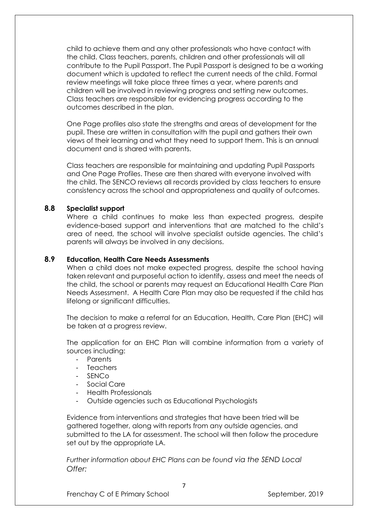child to achieve them and any other professionals who have contact with the child. Class teachers, parents, children and other professionals will all contribute to the Pupil Passport. The Pupil Passport is designed to be a working document which is updated to reflect the current needs of the child. Formal review meetings will take place three times a year, where parents and children will be involved in reviewing progress and setting new outcomes. Class teachers are responsible for evidencing progress according to the outcomes described in the plan.

One Page profiles also state the strengths and areas of development for the pupil. These are written in consultation with the pupil and gathers their own views of their learning and what they need to support them. This is an annual document and is shared with parents.

Class teachers are responsible for maintaining and updating Pupil Passports and One Page Profiles. These are then shared with everyone involved with the child. The SENCO reviews all records provided by class teachers to ensure consistency across the school and appropriateness and quality of outcomes.

### **8.8 Specialist support**

Where a child continues to make less than expected progress, despite evidence-based support and interventions that are matched to the child's area of need, the school will involve specialist outside agencies. The child's parents will always be involved in any decisions.

### **8.9 Education, Health Care Needs Assessments**

When a child does not make expected progress, despite the school having taken relevant and purposeful action to identify, assess and meet the needs of the child, the school or parents may request an Educational Health Care Plan Needs Assessment. A Health Care Plan may also be requested if the child has lifelong or significant difficulties.

The decision to make a referral for an Education, Health, Care Plan (EHC) will be taken at a progress review.

The application for an EHC Plan will combine information from a variety of sources including:

- Parents
- **Teachers**
- SENC<sub>O</sub>
- Social Care
- Health Professionals
- Outside agencies such as Educational Psychologists

Evidence from interventions and strategies that have been tried will be gathered together, along with reports from any outside agencies, and submitted to the LA for assessment. The school will then follow the procedure set out by the appropriate LA.

*Further information about EHC Plans can be found via the SEND Local Offer:*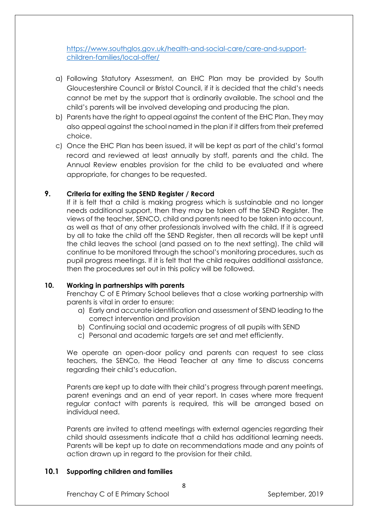[https://www.southglos.gov.uk/health-and-social-care/care-and-support](https://www.southglos.gov.uk/health-and-social-care/care-and-support-children-families/local-offer/)[children-families/local-offer/](https://www.southglos.gov.uk/health-and-social-care/care-and-support-children-families/local-offer/)

- a) Following Statutory Assessment, an EHC Plan may be provided by South Gloucestershire Council or Bristol Council, if it is decided that the child's needs cannot be met by the support that is ordinarily available. The school and the child's parents will be involved developing and producing the plan.
- b) Parents have the right to appeal against the content of the EHC Plan. They may also appeal against the school named in the plan if it differs from their preferred choice.
- c) Once the EHC Plan has been issued, it will be kept as part of the child's formal record and reviewed at least annually by staff, parents and the child. The Annual Review enables provision for the child to be evaluated and where appropriate, for changes to be requested.

### **9. Criteria for exiting the SEND Register / Record**

If it is felt that a child is making progress which is sustainable and no longer needs additional support, then they may be taken off the SEND Register. The views of the teacher, SENCO, child and parents need to be taken into account, as well as that of any other professionals involved with the child. If it is agreed by all to take the child off the SEND Register, then all records will be kept until the child leaves the school (and passed on to the next setting). The child will continue to be monitored through the school's monitoring procedures, such as pupil progress meetings. If it is felt that the child requires additional assistance, then the procedures set out in this policy will be followed.

### **10. Working in partnerships with parents**

Frenchay C of E Primary School believes that a close working partnership with parents is vital in order to ensure:

- a) Early and accurate identification and assessment of SEND leading to the correct intervention and provision
- b) Continuing social and academic progress of all pupils with SEND
- c) Personal and academic targets are set and met efficiently.

We operate an open-door policy and parents can request to see class teachers, the SENCo, the Head Teacher at any time to discuss concerns regarding their child's education.

Parents are kept up to date with their child's progress through parent meetings, parent evenings and an end of year report. In cases where more frequent regular contact with parents is required, this will be arranged based on individual need.

Parents are invited to attend meetings with external agencies regarding their child should assessments indicate that a child has additional learning needs. Parents will be kept up to date on recommendations made and any points of action drawn up in regard to the provision for their child.

### **10.1 Supporting children and families**